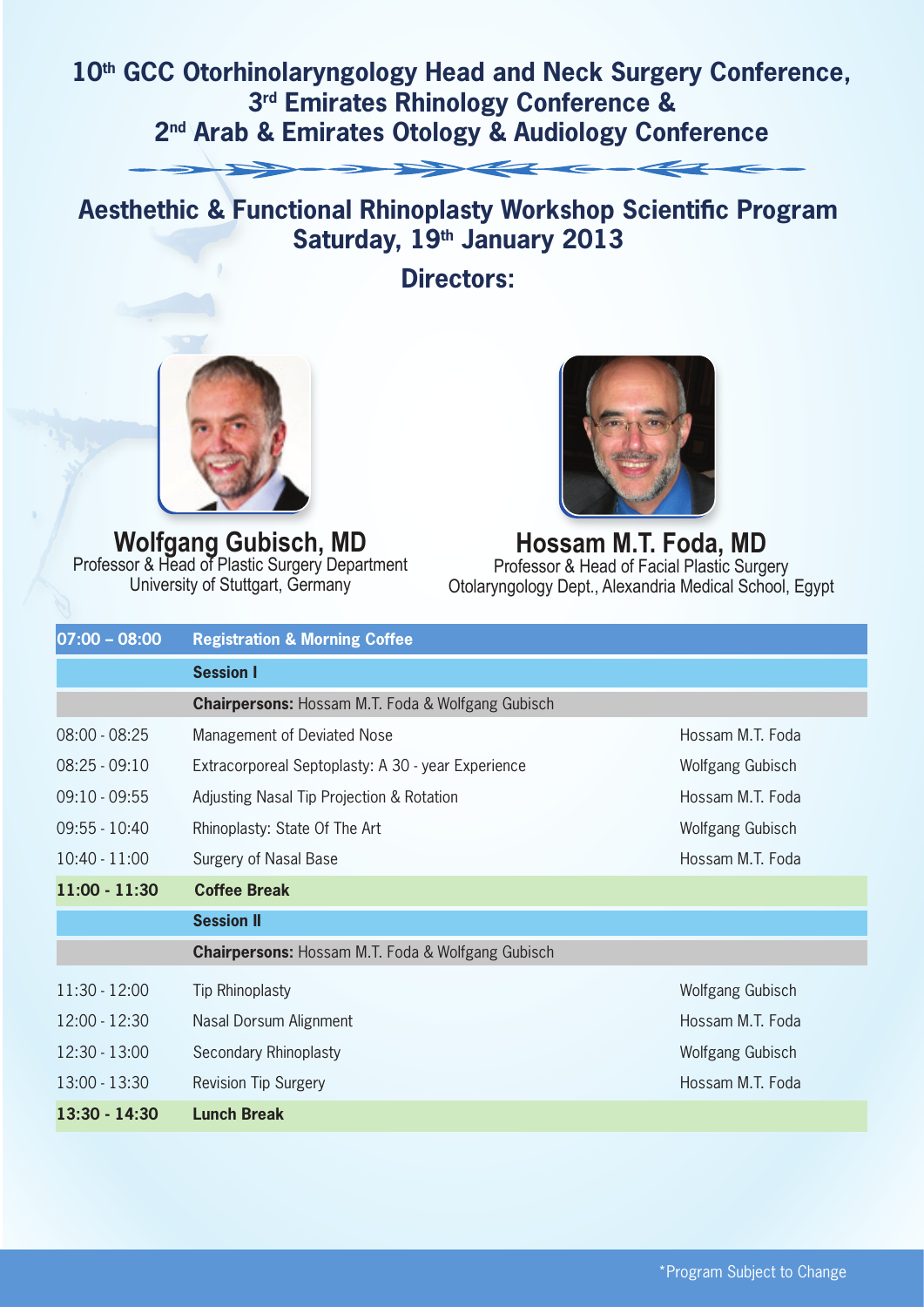## 10<sup>th</sup> GCC Otorhinolaryngology Head and Neck Surgery Conference, **3rd Emirates Rhinology Conference & 2nd Arab & Emirates Otology & Audiology Conference**



## **Aesthethic & Functional Rhinoplasty Workshop Scientific Program Saturday, 19th January 2013**

**Directors:**



**Wolfgang Gubisch, MD** Professor & Head of Plastic Surgery Department University of Stuttgart, Germany



**Hossam M.T. Foda, MD** Professor & Head of Facial Plastic Surgery Otolaryngology Dept., Alexandria Medical School, Egypt

| $07:00 - 08:00$ | <b>Registration &amp; Morning Coffee</b>                     |                  |
|-----------------|--------------------------------------------------------------|------------------|
|                 | <b>Session I</b>                                             |                  |
|                 | <b>Chairpersons: Hossam M.T. Foda &amp; Wolfgang Gubisch</b> |                  |
| $08:00 - 08:25$ | Management of Deviated Nose                                  | Hossam M.T. Foda |
| $08:25 - 09:10$ | Extracorporeal Septoplasty: A 30 - year Experience           | Wolfgang Gubisch |
| $09:10 - 09:55$ | Adjusting Nasal Tip Projection & Rotation                    | Hossam M.T. Foda |
| $09:55 - 10:40$ | Rhinoplasty: State Of The Art                                | Wolfgang Gubisch |
| $10:40 - 11:00$ | Surgery of Nasal Base                                        | Hossam M.T. Foda |
| $11:00 - 11:30$ | <b>Coffee Break</b>                                          |                  |
|                 | <b>Session II</b>                                            |                  |
|                 | <b>Chairpersons: Hossam M.T. Foda &amp; Wolfgang Gubisch</b> |                  |
| $11:30 - 12:00$ | <b>Tip Rhinoplasty</b>                                       | Wolfgang Gubisch |
| $12:00 - 12:30$ | Nasal Dorsum Alignment                                       | Hossam M.T. Foda |
| $12:30 - 13:00$ | Secondary Rhinoplasty                                        | Wolfgang Gubisch |
| $13:00 - 13:30$ | <b>Revision Tip Surgery</b>                                  | Hossam M.T. Foda |
| $13:30 - 14:30$ | <b>Lunch Break</b>                                           |                  |